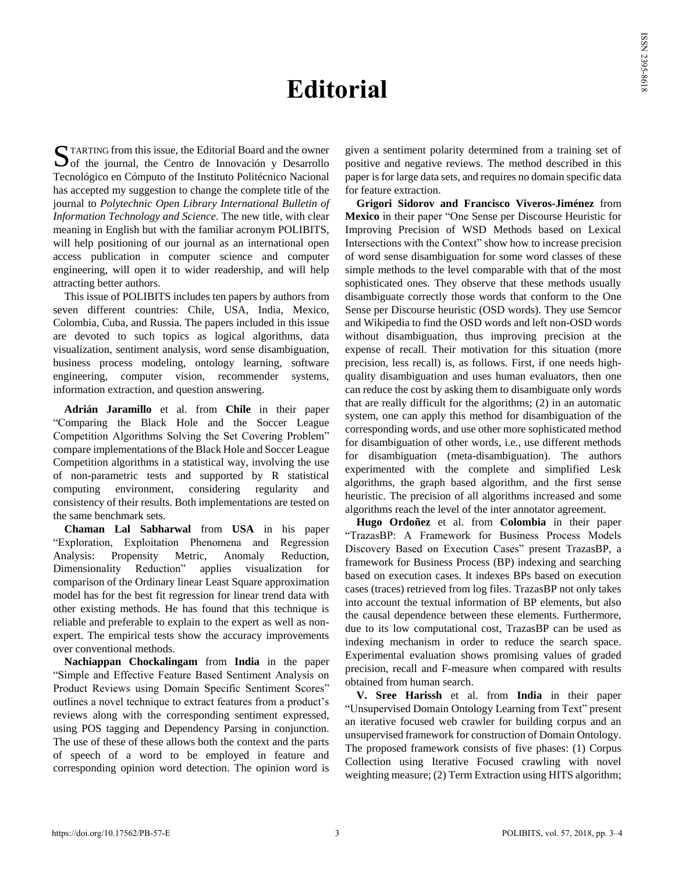## **Editorial**

TARTING from this issue, the Editorial Board and the owner STARTING from this issue, the Editorial Board and the owner<br>Of the journal, the Centro de Innovación y Desarrollo Tecnológico en Cómputo of the Instituto Politécnico Nacional has accepted my suggestion to change the complete title of the journal to *Polytechnic Open Library International Bulletin of Information Technology and Science*. The new title, with clear meaning in English but with the familiar acronym POLIBITS, will help positioning of our journal as an international open access publication in computer science and computer engineering, will open it to wider readership, and will help attracting better authors.

This issue of POLIBITS includes ten papers by authors from seven different countries: Chile, USA, India, Mexico, Colombia, Cuba, and Russia. The papers included in this issue are devoted to such topics as logical algorithms, data visualization, sentiment analysis, word sense disambiguation, business process modeling, ontology learning, software engineering, computer vision, recommender systems, information extraction, and question answering.

**Adrián Jaramillo** et al. from **Chile** in their paper "Comparing the Black Hole and the Soccer League Competition Algorithms Solving the Set Covering Problem" compare implementations of the Black Hole and Soccer League Competition algorithms in a statistical way, involving the use of non-parametric tests and supported by R statistical computing environment, considering regularity and consistency of their results. Both implementations are tested on the same benchmark sets.

**Chaman Lal Sabharwal** from **USA** in his paper "Exploration, Exploitation Phenomena and Regression Analysis: Propensity Metric, Anomaly Reduction, Dimensionality Reduction" applies visualization for comparison of the Ordinary linear Least Square approximation model has for the best fit regression for linear trend data with other existing methods. He has found that this technique is reliable and preferable to explain to the expert as well as nonexpert. The empirical tests show the accuracy improvements over conventional methods.

**Nachiappan Chockalingam** from **India** in the paper "Simple and Effective Feature Based Sentiment Analysis on Product Reviews using Domain Specific Sentiment Scores" outlines a novel technique to extract features from a product's reviews along with the corresponding sentiment expressed, using POS tagging and Dependency Parsing in conjunction. The use of these of these allows both the context and the parts of speech of a word to be employed in feature and corresponding opinion word detection. The opinion word is given a sentiment polarity determined from a training set of positive and negative reviews. The method described in this paper is for large data sets, and requires no domain specific data for feature extraction.

**Grigori Sidorov and Francisco Viveros-Jiménez** from **Mexico** in their paper "One Sense per Discourse Heuristic for Improving Precision of WSD Methods based on Lexical Intersections with the Context" show how to increase precision of word sense disambiguation for some word classes of these simple methods to the level comparable with that of the most sophisticated ones. They observe that these methods usually disambiguate correctly those words that conform to the One Sense per Discourse heuristic (OSD words). They use Semcor and Wikipedia to find the OSD words and left non-OSD words without disambiguation, thus improving precision at the expense of recall. Their motivation for this situation (more precision, less recall) is, as follows. First, if one needs highquality disambiguation and uses human evaluators, then one can reduce the cost by asking them to disambiguate only words that are really difficult for the algorithms; (2) in an automatic system, one can apply this method for disambiguation of the corresponding words, and use other more sophisticated method for disambiguation of other words, i.e., use different methods for disambiguation (meta-disambiguation). The authors experimented with the complete and simplified Lesk algorithms, the graph based algorithm, and the first sense heuristic. The precision of all algorithms increased and some algorithms reach the level of the inter annotator agreement.

**Hugo Ordoñez** et al. from **Colombia** in their paper "TrazasBP: A Framework for Business Process Models Discovery Based on Execution Cases" present TrazasBP, a framework for Business Process (BP) indexing and searching based on execution cases. It indexes BPs based on execution cases (traces) retrieved from log files. TrazasBP not only takes into account the textual information of BP elements, but also the causal dependence between these elements. Furthermore, due to its low computational cost, TrazasBP can be used as indexing mechanism in order to reduce the search space. Experimental evaluation shows promising values of graded precision, recall and F-measure when compared with results obtained from human search.

**V. Sree Harissh** et al. from **India** in their paper "Unsupervised Domain Ontology Learning from Text" present an iterative focused web crawler for building corpus and an unsupervised framework for construction of Domain Ontology. The proposed framework consists of five phases: (1) Corpus Collection using Iterative Focused crawling with novel weighting measure; (2) Term Extraction using HITS algorithm;